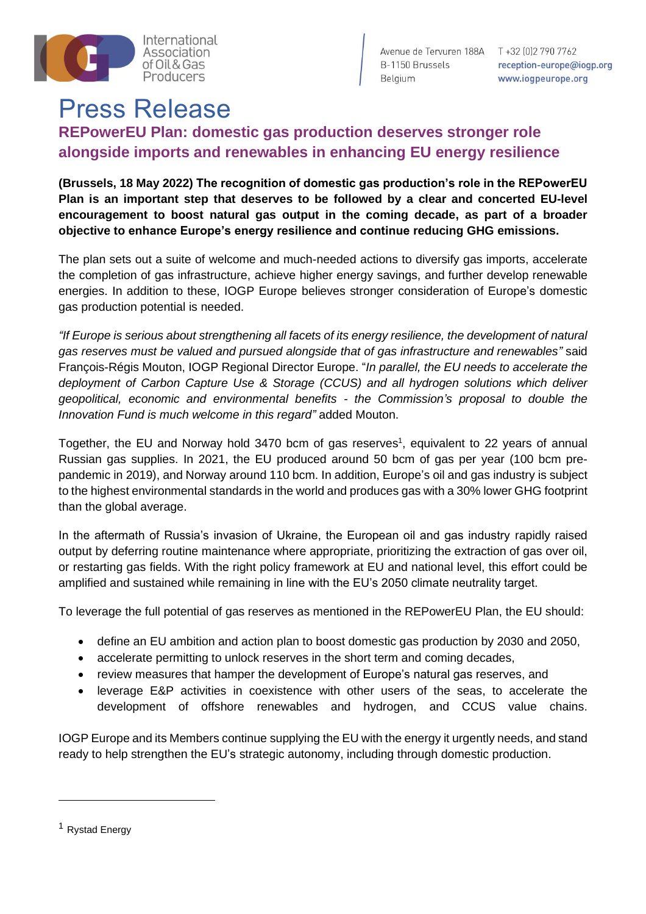

Avenue de Tervuren 188A T +32 (0) 2 790 7762 B-1150 Brussels Belgium

reception-europe@iogp.org www.iogpeurope.org

## Press Release

## **REPowerEU Plan: domestic gas production deserves stronger role alongside imports and renewables in enhancing EU energy resilience**

**(Brussels, 18 May 2022) The recognition of domestic gas production's role in the REPowerEU Plan is an important step that deserves to be followed by a clear and concerted EU-level encouragement to boost natural gas output in the coming decade, as part of a broader objective to enhance Europe's energy resilience and continue reducing GHG emissions.**

The plan sets out a suite of welcome and much-needed actions to diversify gas imports, accelerate the completion of gas infrastructure, achieve higher energy savings, and further develop renewable energies. In addition to these, IOGP Europe believes stronger consideration of Europe's domestic gas production potential is needed.

*"If Europe is serious about strengthening all facets of its energy resilience, the development of natural gas reserves must be valued and pursued alongside that of gas infrastructure and renewables"* said François-Régis Mouton, IOGP Regional Director Europe. "*In parallel, the EU needs to accelerate the deployment of Carbon Capture Use & Storage (CCUS) and all hydrogen solutions which deliver geopolitical, economic and environmental benefits - the Commission's proposal to double the Innovation Fund is much welcome in this regard"* added Mouton.

Together, the EU and Norway hold 3470 bcm of gas reserves<sup>1</sup>, equivalent to 22 years of annual Russian gas supplies. In 2021, the EU produced around 50 bcm of gas per year (100 bcm prepandemic in 2019), and Norway around 110 bcm. In addition, Europe's oil and gas industry is subject to the highest environmental standards in the world and produces gas with a 30% lower GHG footprint than the global average.

In the aftermath of Russia's invasion of Ukraine, the European oil and gas industry rapidly raised output by deferring routine maintenance where appropriate, prioritizing the extraction of gas over oil, or restarting gas fields. With the right policy framework at EU and national level, this effort could be amplified and sustained while remaining in line with the EU's 2050 climate neutrality target.

To leverage the full potential of gas reserves as mentioned in the REPowerEU Plan, the EU should:

- define an EU ambition and action plan to boost domestic gas production by 2030 and 2050,
- accelerate permitting to unlock reserves in the short term and coming decades,
- review measures that hamper the development of Europe's natural gas reserves, and
- leverage E&P activities in coexistence with other users of the seas, to accelerate the development of offshore renewables and hydrogen, and CCUS value chains.

IOGP Europe and its Members continue supplying the EU with the energy it urgently needs, and stand ready to help strengthen the EU's strategic autonomy, including through domestic production.

<sup>1</sup> Rystad Energy